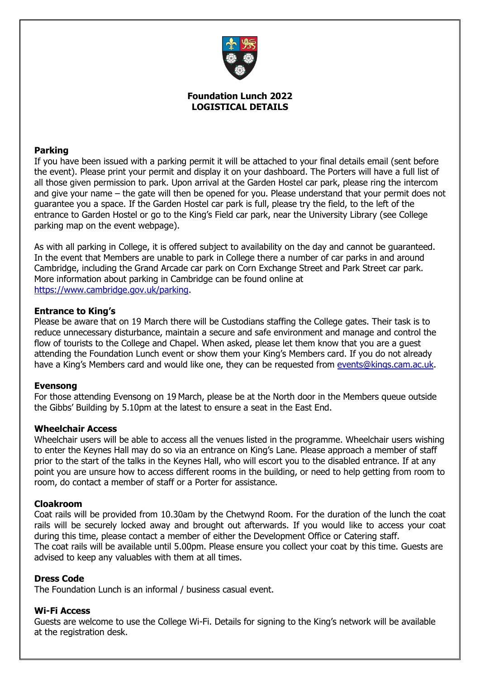

# **Foundation Lunch 2022 LOGISTICAL DETAILS**

# **Parking**

If you have been issued with a parking permit it will be attached to your final details email (sent before the event). Please print your permit and display it on your dashboard. The Porters will have a full list of all those given permission to park. Upon arrival at the Garden Hostel car park, please ring the intercom and give your name – the gate will then be opened for you. Please understand that your permit does not guarantee you a space. If the Garden Hostel car park is full, please try the field, to the left of the entrance to Garden Hostel or go to the King's Field car park, near the University Library (see College parking map on the event webpage).

As with all parking in College, it is offered subject to availability on the day and cannot be guaranteed. In the event that Members are unable to park in College there a number of car parks in and around Cambridge, including the Grand Arcade car park on Corn Exchange Street and Park Street car park. More information about parking in Cambridge can be found online at [https://www.cambridge.gov.uk/parking.](https://www.cambridge.gov.uk/parking)

### **Entrance to King's**

Please be aware that on 19 March there will be Custodians staffing the College gates. Their task is to reduce unnecessary disturbance, maintain a secure and safe environment and manage and control the flow of tourists to the College and Chapel. When asked, please let them know that you are a guest attending the Foundation Lunch event or show them your King's Members card. If you do not already have a King's Members card and would like one, they can be requested from [events@kings.cam.ac.uk.](mailto:events@kings.cam.ac.uk)

### **Evensong**

For those attending Evensong on 19 March, please be at the North door in the Members queue outside the Gibbs' Building by 5.10pm at the latest to ensure a seat in the East End.

#### **Wheelchair Access**

Wheelchair users will be able to access all the venues listed in the programme. Wheelchair users wishing to enter the Keynes Hall may do so via an entrance on King's Lane. Please approach a member of staff prior to the start of the talks in the Keynes Hall, who will escort you to the disabled entrance. If at any point you are unsure how to access different rooms in the building, or need to help getting from room to room, do contact a member of staff or a Porter for assistance.

### **Cloakroom**

Coat rails will be provided from 10.30am by the Chetwynd Room. For the duration of the lunch the coat rails will be securely locked away and brought out afterwards. If you would like to access your coat during this time, please contact a member of either the Development Office or Catering staff. The coat rails will be available until 5.00pm. Please ensure you collect your coat by this time. Guests are advised to keep any valuables with them at all times.

#### **Dress Code**

The Foundation Lunch is an informal / business casual event.

### **Wi-Fi Access**

Guests are welcome to use the College Wi-Fi. Details for signing to the King's network will be available at the registration desk.